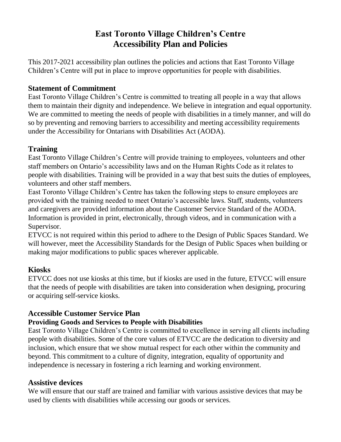# **East Toronto Village Children's Centre Accessibility Plan and Policies**

This 2017-2021 accessibility plan outlines the policies and actions that East Toronto Village Children's Centre will put in place to improve opportunities for people with disabilities.

# **Statement of Commitment**

East Toronto Village Children's Centre is committed to treating all people in a way that allows them to maintain their dignity and independence. We believe in integration and equal opportunity. We are committed to meeting the needs of people with disabilities in a timely manner, and will do so by preventing and removing barriers to accessibility and meeting accessibility requirements under the Accessibility for Ontarians with Disabilities Act (AODA).

#### **Training**

East Toronto Village Children's Centre will provide training to employees, volunteers and other staff members on Ontario's accessibility laws and on the Human Rights Code as it relates to people with disabilities. Training will be provided in a way that best suits the duties of employees, volunteers and other staff members.

East Toronto Village Children's Centre has taken the following steps to ensure employees are provided with the training needed to meet Ontario's accessible laws. Staff, students, volunteers and caregivers are provided information about the Customer Service Standard of the AODA. Information is provided in print, electronically, through videos, and in communication with a Supervisor.

ETVCC is not required within this period to adhere to the Design of Public Spaces Standard. We will however, meet the Accessibility Standards for the Design of Public Spaces when building or making major modifications to public spaces wherever applicable.

## **Kiosks**

ETVCC does not use kiosks at this time, but if kiosks are used in the future, ETVCC will ensure that the needs of people with disabilities are taken into consideration when designing, procuring or acquiring self-service kiosks.

#### **Accessible Customer Service Plan**

#### **Providing Goods and Services to People with Disabilities**

East Toronto Village Children's Centre is committed to excellence in serving all clients including people with disabilities. Some of the core values of ETVCC are the dedication to diversity and inclusion, which ensure that we show mutual respect for each other within the community and beyond. This commitment to a culture of dignity, integration, equality of opportunity and independence is necessary in fostering a rich learning and working environment.

#### **Assistive devices**

We will ensure that our staff are trained and familiar with various assistive devices that may be used by clients with disabilities while accessing our goods or services.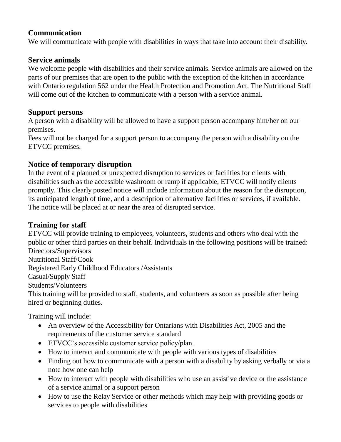#### **Communication**

We will communicate with people with disabilities in ways that take into account their disability.

## **Service animals**

We welcome people with disabilities and their service animals. Service animals are allowed on the parts of our premises that are open to the public with the exception of the kitchen in accordance with Ontario regulation 562 under the Health Protection and Promotion Act. The Nutritional Staff will come out of the kitchen to communicate with a person with a service animal.

#### **Support persons**

A person with a disability will be allowed to have a support person accompany him/her on our premises.

Fees will not be charged for a support person to accompany the person with a disability on the ETVCC premises.

# **Notice of temporary disruption**

In the event of a planned or unexpected disruption to services or facilities for clients with disabilities such as the accessible washroom or ramp if applicable, ETVCC will notify clients promptly. This clearly posted notice will include information about the reason for the disruption, its anticipated length of time, and a description of alternative facilities or services, if available. The notice will be placed at or near the area of disrupted service.

# **Training for staff**

ETVCC will provide training to employees, volunteers, students and others who deal with the public or other third parties on their behalf. Individuals in the following positions will be trained: Directors/Supervisors Nutritional Staff/Cook Registered Early Childhood Educators /Assistants Casual/Supply Staff Students/Volunteers This training will be provided to staff, students, and volunteers as soon as possible after being

Training will include:

hired or beginning duties.

- An overview of the Accessibility for Ontarians with Disabilities Act, 2005 and the requirements of the customer service standard
- ETVCC's accessible customer service policy/plan.
- How to interact and communicate with people with various types of disabilities
- Finding out how to communicate with a person with a disability by asking verbally or via a note how one can help
- How to interact with people with disabilities who use an assistive device or the assistance of a service animal or a support person
- How to use the Relay Service or other methods which may help with providing goods or services to people with disabilities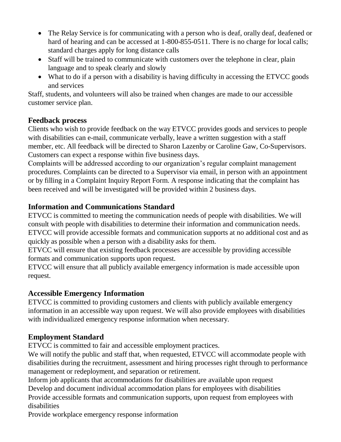- The Relay Service is for communicating with a person who is deaf, orally deaf, deafened or hard of hearing and can be accessed at 1-800-855-0511. There is no charge for local calls; standard charges apply for long distance calls
- Staff will be trained to communicate with customers over the telephone in clear, plain language and to speak clearly and slowly
- What to do if a person with a disability is having difficulty in accessing the ETVCC goods and services

Staff, students, and volunteers will also be trained when changes are made to our accessible customer service plan.

## **Feedback process**

Clients who wish to provide feedback on the way ETVCC provides goods and services to people with disabilities can e-mail, communicate verbally, leave a written suggestion with a staff member, etc. All feedback will be directed to Sharon Lazenby or Caroline Gaw, Co-Supervisors. Customers can expect a response within five business days.

Complaints will be addressed according to our organization's regular complaint management procedures. Complaints can be directed to a Supervisor via email, in person with an appointment or by filling in a Complaint Inquiry Report Form. A response indicating that the complaint has been received and will be investigated will be provided within 2 business days.

# **Information and Communications Standard**

ETVCC is committed to meeting the communication needs of people with disabilities. We will consult with people with disabilities to determine their information and communication needs. ETVCC will provide accessible formats and communication supports at no additional cost and as quickly as possible when a person with a disability asks for them.

ETVCC will ensure that existing feedback processes are accessible by providing accessible formats and communication supports upon request.

ETVCC will ensure that all publicly available emergency information is made accessible upon request.

## **Accessible Emergency Information**

ETVCC is committed to providing customers and clients with publicly available emergency information in an accessible way upon request. We will also provide employees with disabilities with individualized emergency response information when necessary.

# **Employment Standard**

ETVCC is committed to fair and accessible employment practices.

We will notify the public and staff that, when requested, ETVCC will accommodate people with disabilities during the recruitment, assessment and hiring processes right through to performance management or redeployment, and separation or retirement.

Inform job applicants that accommodations for disabilities are available upon request Develop and document individual accommodation plans for employees with disabilities Provide accessible formats and communication supports, upon request from employees with disabilities

Provide workplace emergency response information